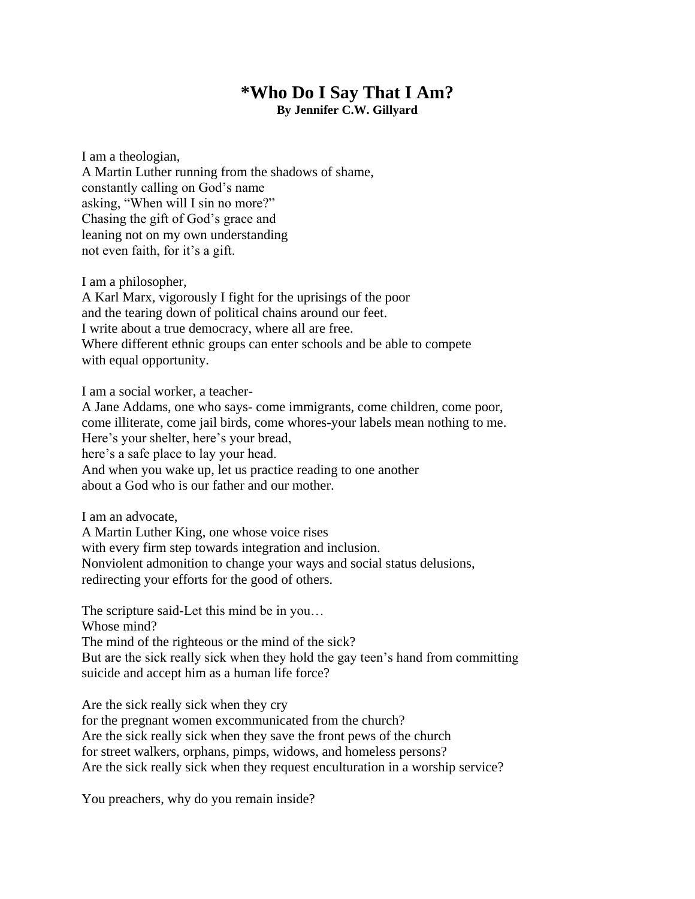## **\*Who Do I Say That I Am? By Jennifer C.W. Gillyard**

I am a theologian, A Martin Luther running from the shadows of shame, constantly calling on God's name asking, "When will I sin no more?" Chasing the gift of God's grace and leaning not on my own understanding not even faith, for it's a gift.

I am a philosopher, A Karl Marx, vigorously I fight for the uprisings of the poor and the tearing down of political chains around our feet. I write about a true democracy, where all are free. Where different ethnic groups can enter schools and be able to compete with equal opportunity.

I am a social worker, a teacher-

A Jane Addams, one who says- come immigrants, come children, come poor, come illiterate, come jail birds, come whores-your labels mean nothing to me. Here's your shelter, here's your bread, here's a safe place to lay your head. And when you wake up, let us practice reading to one another about a God who is our father and our mother.

I am an advocate,

A Martin Luther King, one whose voice rises with every firm step towards integration and inclusion. Nonviolent admonition to change your ways and social status delusions, redirecting your efforts for the good of others.

The scripture said-Let this mind be in you… Whose mind? The mind of the righteous or the mind of the sick? But are the sick really sick when they hold the gay teen's hand from committing suicide and accept him as a human life force?

Are the sick really sick when they cry for the pregnant women excommunicated from the church? Are the sick really sick when they save the front pews of the church for street walkers, orphans, pimps, widows, and homeless persons? Are the sick really sick when they request enculturation in a worship service?

You preachers, why do you remain inside?